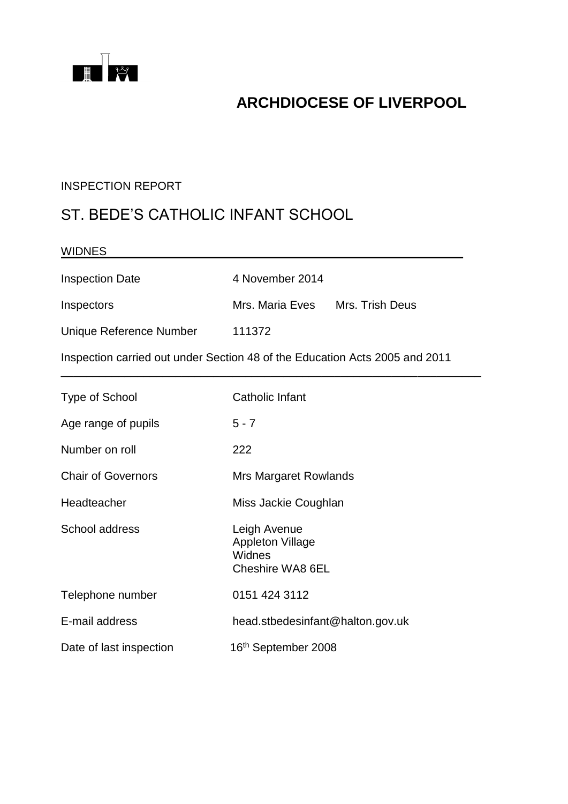

## **ARCHDIOCESE OF LIVERPOOL**

#### INSPECTION REPORT

## ST. BEDE'S CATHOLIC INFANT SCHOOL

| <b>WIDNES</b>                                                               |                                                                       |  |
|-----------------------------------------------------------------------------|-----------------------------------------------------------------------|--|
| <b>Inspection Date</b>                                                      | 4 November 2014                                                       |  |
| Inspectors                                                                  | Mrs. Maria Eves<br>Mrs. Trish Deus                                    |  |
| Unique Reference Number                                                     | 111372                                                                |  |
| Inspection carried out under Section 48 of the Education Acts 2005 and 2011 |                                                                       |  |
| Type of School                                                              | Catholic Infant                                                       |  |
| Age range of pupils                                                         | $5 - 7$                                                               |  |
| Number on roll                                                              | 222                                                                   |  |
| <b>Chair of Governors</b>                                                   | <b>Mrs Margaret Rowlands</b>                                          |  |
| Headteacher                                                                 | Miss Jackie Coughlan                                                  |  |
| School address                                                              | Leigh Avenue<br><b>Appleton Village</b><br>Widnes<br>Cheshire WA8 6EL |  |
| Telephone number                                                            | 0151 424 3112                                                         |  |
| E-mail address                                                              | head.stbedesinfant@halton.gov.uk                                      |  |
| Date of last inspection                                                     | 16th September 2008                                                   |  |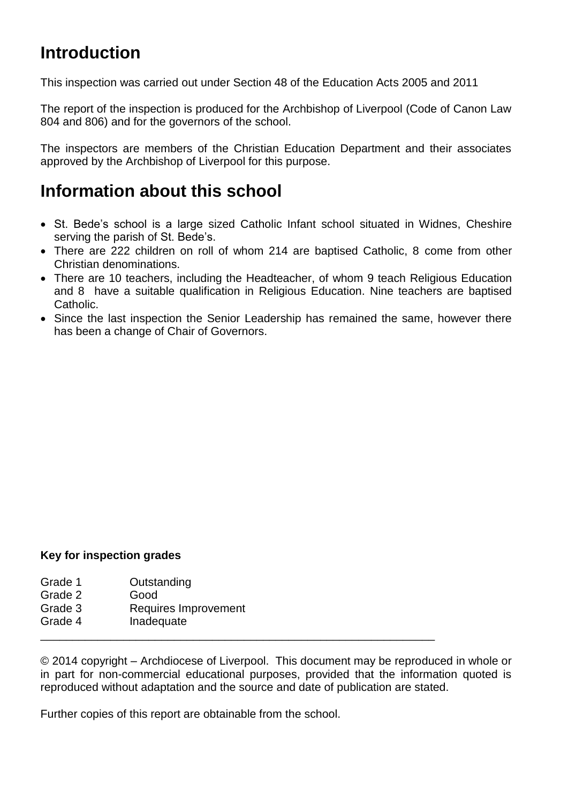# **Introduction**

This inspection was carried out under Section 48 of the Education Acts 2005 and 2011

The report of the inspection is produced for the Archbishop of Liverpool (Code of Canon Law 804 and 806) and for the governors of the school.

The inspectors are members of the Christian Education Department and their associates approved by the Archbishop of Liverpool for this purpose.

## **Information about this school**

- St. Bede's school is a large sized Catholic Infant school situated in Widnes, Cheshire serving the parish of St. Bede's.
- There are 222 children on roll of whom 214 are baptised Catholic, 8 come from other Christian denominations.
- There are 10 teachers, including the Headteacher, of whom 9 teach Religious Education and 8 have a suitable qualification in Religious Education. Nine teachers are baptised Catholic.
- Since the last inspection the Senior Leadership has remained the same, however there has been a change of Chair of Governors.

#### **Key for inspection grades**

- Grade 1 Outstanding
- Grade 2 Good
- Grade 3 Requires Improvement
- Grade 4 Inadequate

© 2014 copyright – Archdiocese of Liverpool. This document may be reproduced in whole or in part for non-commercial educational purposes, provided that the information quoted is reproduced without adaptation and the source and date of publication are stated.

\_\_\_\_\_\_\_\_\_\_\_\_\_\_\_\_\_\_\_\_\_\_\_\_\_\_\_\_\_\_\_\_\_\_\_\_\_\_\_\_\_\_\_\_\_\_\_\_\_\_\_\_\_\_\_\_\_\_\_\_\_\_

Further copies of this report are obtainable from the school.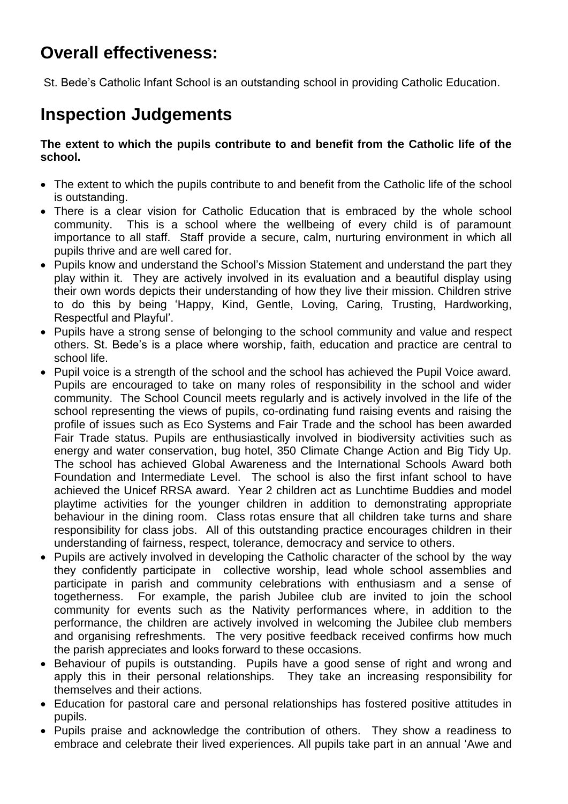# **Overall effectiveness:**

St. Bede's Catholic Infant School is an outstanding school in providing Catholic Education.

# **Inspection Judgements**

**The extent to which the pupils contribute to and benefit from the Catholic life of the school.**

- The extent to which the pupils contribute to and benefit from the Catholic life of the school is outstanding.
- There is a clear vision for Catholic Education that is embraced by the whole school community. This is a school where the wellbeing of every child is of paramount importance to all staff. Staff provide a secure, calm, nurturing environment in which all pupils thrive and are well cared for.
- Pupils know and understand the School's Mission Statement and understand the part they play within it. They are actively involved in its evaluation and a beautiful display using their own words depicts their understanding of how they live their mission. Children strive to do this by being 'Happy, Kind, Gentle, Loving, Caring, Trusting, Hardworking, Respectful and Playful'.
- Pupils have a strong sense of belonging to the school community and value and respect others. St. Bede's is a place where worship, faith, education and practice are central to school life.
- Pupil voice is a strength of the school and the school has achieved the Pupil Voice award. Pupils are encouraged to take on many roles of responsibility in the school and wider community. The School Council meets regularly and is actively involved in the life of the school representing the views of pupils, co-ordinating fund raising events and raising the profile of issues such as Eco Systems and Fair Trade and the school has been awarded Fair Trade status. Pupils are enthusiastically involved in biodiversity activities such as energy and water conservation, bug hotel, 350 Climate Change Action and Big Tidy Up. The school has achieved Global Awareness and the International Schools Award both Foundation and Intermediate Level. The school is also the first infant school to have achieved the Unicef RRSA award. Year 2 children act as Lunchtime Buddies and model playtime activities for the younger children in addition to demonstrating appropriate behaviour in the dining room. Class rotas ensure that all children take turns and share responsibility for class jobs. All of this outstanding practice encourages children in their understanding of fairness, respect, tolerance, democracy and service to others.
- Pupils are actively involved in developing the Catholic character of the school by the way they confidently participate in collective worship, lead whole school assemblies and participate in parish and community celebrations with enthusiasm and a sense of togetherness. For example, the parish Jubilee club are invited to join the school community for events such as the Nativity performances where, in addition to the performance, the children are actively involved in welcoming the Jubilee club members and organising refreshments. The very positive feedback received confirms how much the parish appreciates and looks forward to these occasions.
- Behaviour of pupils is outstanding. Pupils have a good sense of right and wrong and apply this in their personal relationships. They take an increasing responsibility for themselves and their actions.
- Education for pastoral care and personal relationships has fostered positive attitudes in pupils.
- Pupils praise and acknowledge the contribution of others. They show a readiness to embrace and celebrate their lived experiences. All pupils take part in an annual 'Awe and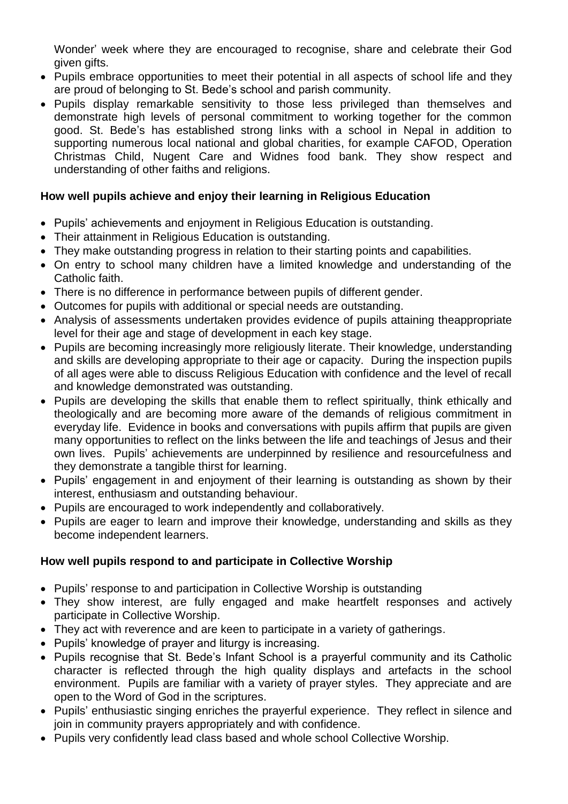Wonder' week where they are encouraged to recognise, share and celebrate their God given gifts.

- Pupils embrace opportunities to meet their potential in all aspects of school life and they are proud of belonging to St. Bede's school and parish community.
- Pupils display remarkable sensitivity to those less privileged than themselves and demonstrate high levels of personal commitment to working together for the common good. St. Bede's has established strong links with a school in Nepal in addition to supporting numerous local national and global charities, for example CAFOD, Operation Christmas Child, Nugent Care and Widnes food bank. They show respect and understanding of other faiths and religions.

#### **How well pupils achieve and enjoy their learning in Religious Education**

- Pupils' achievements and enjoyment in Religious Education is outstanding.
- Their attainment in Religious Education is outstanding.
- They make outstanding progress in relation to their starting points and capabilities.
- On entry to school many children have a limited knowledge and understanding of the Catholic faith.
- There is no difference in performance between pupils of different gender.
- Outcomes for pupils with additional or special needs are outstanding.
- Analysis of assessments undertaken provides evidence of pupils attaining theappropriate level for their age and stage of development in each key stage.
- Pupils are becoming increasingly more religiously literate. Their knowledge, understanding and skills are developing appropriate to their age or capacity. During the inspection pupils of all ages were able to discuss Religious Education with confidence and the level of recall and knowledge demonstrated was outstanding.
- Pupils are developing the skills that enable them to reflect spiritually, think ethically and theologically and are becoming more aware of the demands of religious commitment in everyday life. Evidence in books and conversations with pupils affirm that pupils are given many opportunities to reflect on the links between the life and teachings of Jesus and their own lives. Pupils' achievements are underpinned by resilience and resourcefulness and they demonstrate a tangible thirst for learning.
- Pupils' engagement in and enjoyment of their learning is outstanding as shown by their interest, enthusiasm and outstanding behaviour.
- Pupils are encouraged to work independently and collaboratively.
- Pupils are eager to learn and improve their knowledge, understanding and skills as they become independent learners.

#### **How well pupils respond to and participate in Collective Worship**

- Pupils' response to and participation in Collective Worship is outstanding
- They show interest, are fully engaged and make heartfelt responses and actively participate in Collective Worship.
- They act with reverence and are keen to participate in a variety of gatherings.
- Pupils' knowledge of prayer and liturgy is increasing.
- Pupils recognise that St. Bede's Infant School is a prayerful community and its Catholic character is reflected through the high quality displays and artefacts in the school environment. Pupils are familiar with a variety of prayer styles. They appreciate and are open to the Word of God in the scriptures.
- Pupils' enthusiastic singing enriches the prayerful experience. They reflect in silence and join in community prayers appropriately and with confidence.
- Pupils very confidently lead class based and whole school Collective Worship.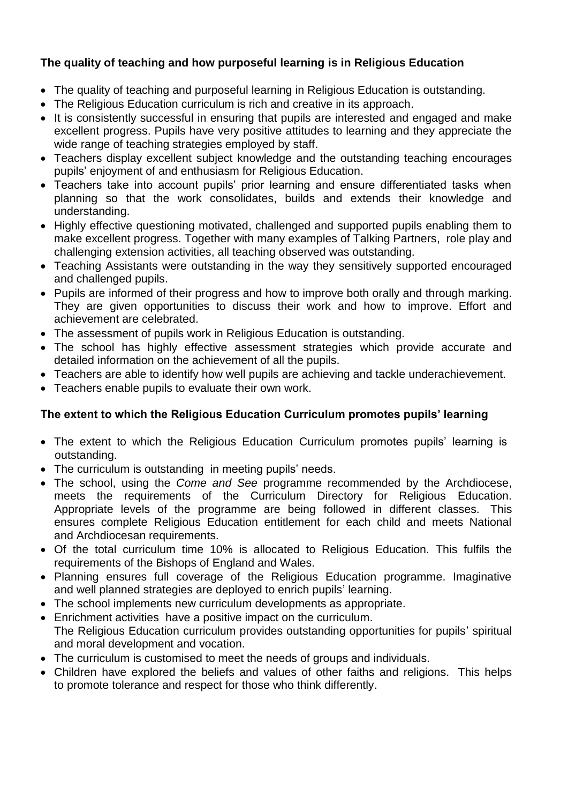#### **The quality of teaching and how purposeful learning is in Religious Education**

- The quality of teaching and purposeful learning in Religious Education is outstanding.
- The Religious Education curriculum is rich and creative in its approach.
- It is consistently successful in ensuring that pupils are interested and engaged and make excellent progress. Pupils have very positive attitudes to learning and they appreciate the wide range of teaching strategies employed by staff.
- Teachers display excellent subject knowledge and the outstanding teaching encourages pupils' enjoyment of and enthusiasm for Religious Education.
- Teachers take into account pupils' prior learning and ensure differentiated tasks when planning so that the work consolidates, builds and extends their knowledge and understanding.
- Highly effective questioning motivated, challenged and supported pupils enabling them to make excellent progress. Together with many examples of Talking Partners, role play and challenging extension activities, all teaching observed was outstanding.
- Teaching Assistants were outstanding in the way they sensitively supported encouraged and challenged pupils.
- Pupils are informed of their progress and how to improve both orally and through marking. They are given opportunities to discuss their work and how to improve. Effort and achievement are celebrated.
- The assessment of pupils work in Religious Education is outstanding.
- The school has highly effective assessment strategies which provide accurate and detailed information on the achievement of all the pupils.
- Teachers are able to identify how well pupils are achieving and tackle underachievement.
- Teachers enable pupils to evaluate their own work.

#### **The extent to which the Religious Education Curriculum promotes pupils' learning**

- The extent to which the Religious Education Curriculum promotes pupils' learning is outstanding.
- The curriculum is outstanding in meeting pupils' needs.
- The school, using the *Come and See* programme recommended by the Archdiocese, meets the requirements of the Curriculum Directory for Religious Education. Appropriate levels of the programme are being followed in different classes. This ensures complete Religious Education entitlement for each child and meets National and Archdiocesan requirements.
- Of the total curriculum time 10% is allocated to Religious Education. This fulfils the requirements of the Bishops of England and Wales.
- Planning ensures full coverage of the Religious Education programme. Imaginative and well planned strategies are deployed to enrich pupils' learning.
- The school implements new curriculum developments as appropriate.
- Enrichment activities have a positive impact on the curriculum. The Religious Education curriculum provides outstanding opportunities for pupils' spiritual and moral development and vocation.
- The curriculum is customised to meet the needs of groups and individuals.
- Children have explored the beliefs and values of other faiths and religions. This helps to promote tolerance and respect for those who think differently.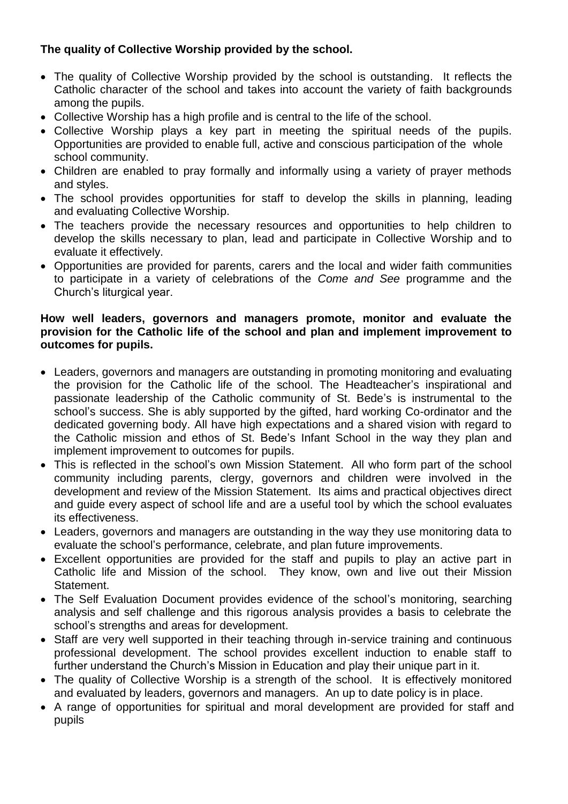#### **The quality of Collective Worship provided by the school.**

- The quality of Collective Worship provided by the school is outstanding. It reflects the Catholic character of the school and takes into account the variety of faith backgrounds among the pupils.
- Collective Worship has a high profile and is central to the life of the school.
- Collective Worship plays a key part in meeting the spiritual needs of the pupils. Opportunities are provided to enable full, active and conscious participation of the whole school community.
- Children are enabled to pray formally and informally using a variety of prayer methods and styles.
- The school provides opportunities for staff to develop the skills in planning, leading and evaluating Collective Worship.
- The teachers provide the necessary resources and opportunities to help children to develop the skills necessary to plan, lead and participate in Collective Worship and to evaluate it effectively.
- Opportunities are provided for parents, carers and the local and wider faith communities to participate in a variety of celebrations of the *Come and See* programme and the Church's liturgical year.

#### **How well leaders, governors and managers promote, monitor and evaluate the provision for the Catholic life of the school and plan and implement improvement to outcomes for pupils.**

- Leaders, governors and managers are outstanding in promoting monitoring and evaluating the provision for the Catholic life of the school. The Headteacher's inspirational and passionate leadership of the Catholic community of St. Bede's is instrumental to the school's success. She is ably supported by the gifted, hard working Co-ordinator and the dedicated governing body. All have high expectations and a shared vision with regard to the Catholic mission and ethos of St. Bede's Infant School in the way they plan and implement improvement to outcomes for pupils.
- This is reflected in the school's own Mission Statement. All who form part of the school community including parents, clergy, governors and children were involved in the development and review of the Mission Statement. Its aims and practical objectives direct and guide every aspect of school life and are a useful tool by which the school evaluates its effectiveness.
- Leaders, governors and managers are outstanding in the way they use monitoring data to evaluate the school's performance, celebrate, and plan future improvements.
- Excellent opportunities are provided for the staff and pupils to play an active part in Catholic life and Mission of the school. They know, own and live out their Mission Statement.
- The Self Evaluation Document provides evidence of the school's monitoring, searching analysis and self challenge and this rigorous analysis provides a basis to celebrate the school's strengths and areas for development.
- Staff are very well supported in their teaching through in-service training and continuous professional development. The school provides excellent induction to enable staff to further understand the Church's Mission in Education and play their unique part in it.
- The quality of Collective Worship is a strength of the school. It is effectively monitored and evaluated by leaders, governors and managers. An up to date policy is in place.
- A range of opportunities for spiritual and moral development are provided for staff and pupils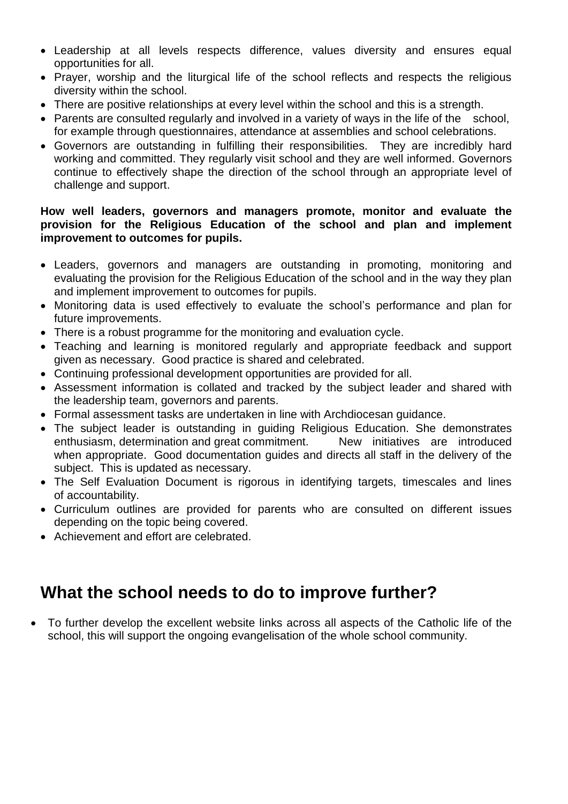- Leadership at all levels respects difference, values diversity and ensures equal opportunities for all.
- Prayer, worship and the liturgical life of the school reflects and respects the religious diversity within the school.
- There are positive relationships at every level within the school and this is a strength.
- Parents are consulted regularly and involved in a variety of ways in the life of the school, for example through questionnaires, attendance at assemblies and school celebrations.
- Governors are outstanding in fulfilling their responsibilities. They are incredibly hard working and committed. They regularly visit school and they are well informed. Governors continue to effectively shape the direction of the school through an appropriate level of challenge and support.

#### **How well leaders, governors and managers promote, monitor and evaluate the provision for the Religious Education of the school and plan and implement improvement to outcomes for pupils.**

- Leaders, governors and managers are outstanding in promoting, monitoring and evaluating the provision for the Religious Education of the school and in the way they plan and implement improvement to outcomes for pupils.
- Monitoring data is used effectively to evaluate the school's performance and plan for future improvements.
- There is a robust programme for the monitoring and evaluation cycle.
- Teaching and learning is monitored regularly and appropriate feedback and support given as necessary. Good practice is shared and celebrated.
- Continuing professional development opportunities are provided for all.
- Assessment information is collated and tracked by the subject leader and shared with the leadership team, governors and parents.
- Formal assessment tasks are undertaken in line with Archdiocesan guidance.
- The subject leader is outstanding in guiding Religious Education. She demonstrates enthusiasm, determination and great commitment. New initiatives are introduced when appropriate. Good documentation guides and directs all staff in the delivery of the subject. This is updated as necessary.
- The Self Evaluation Document is rigorous in identifying targets, timescales and lines of accountability.
- Curriculum outlines are provided for parents who are consulted on different issues depending on the topic being covered.
- Achievement and effort are celebrated.

## **What the school needs to do to improve further?**

 To further develop the excellent website links across all aspects of the Catholic life of the school, this will support the ongoing evangelisation of the whole school community.